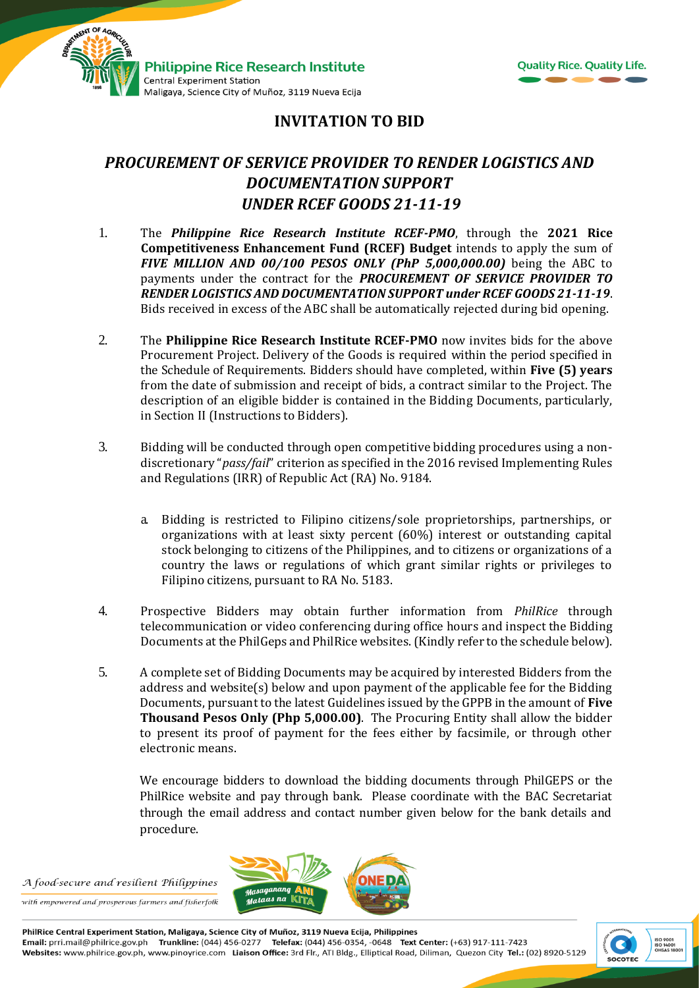



## **INVITATION TO BID**

## *PROCUREMENT OF SERVICE PROVIDER TO RENDER LOGISTICS AND DOCUMENTATION SUPPORT UNDER RCEF GOODS 21-11-19*

- 1. The *Philippine Rice Research Institute RCEF-PMO*, through the **2021 Rice Competitiveness Enhancement Fund (RCEF) Budget** intends to apply the sum of *FIVE MILLION AND 00/100 PESOS ONLY (PhP 5,000,000.00)* being the ABC to payments under the contract for the *PROCUREMENT OF SERVICE PROVIDER TO RENDER LOGISTICS AND DOCUMENTATION SUPPORT under RCEF GOODS 21-11-19*. Bids received in excess of the ABC shall be automatically rejected during bid opening.
- 2. The **Philippine Rice Research Institute RCEF-PMO** now invites bids for the above Procurement Project. Delivery of the Goods is required within the period specified in the Schedule of Requirements. Bidders should have completed, within **Five (5) years** from the date of submission and receipt of bids, a contract similar to the Project. The description of an eligible bidder is contained in the Bidding Documents, particularly, in Section II (Instructions to Bidders).
- 3. Bidding will be conducted through open competitive bidding procedures using a nondiscretionary "*pass/fail*" criterion as specified in the 2016 revised Implementing Rules and Regulations (IRR) of Republic Act (RA) No. 9184.
	- a. Bidding is restricted to Filipino citizens/sole proprietorships, partnerships, or organizations with at least sixty percent (60%) interest or outstanding capital stock belonging to citizens of the Philippines, and to citizens or organizations of a country the laws or regulations of which grant similar rights or privileges to Filipino citizens, pursuant to RA No. 5183.
- 4. Prospective Bidders may obtain further information from *PhilRice* through telecommunication or video conferencing during office hours and inspect the Bidding Documents at the PhilGeps and PhilRice websites. (Kindly refer to the schedule below).
- 5. A complete set of Bidding Documents may be acquired by interested Bidders from the address and website(s) below and upon payment of the applicable fee for the Bidding Documents, pursuant to the latest Guidelines issued by the GPPB in the amount of **Five Thousand Pesos Only (Php 5,000.00)**. The Procuring Entity shall allow the bidder to present its proof of payment for the fees either by facsimile, or through other electronic means.

We encourage bidders to download the bidding documents through PhilGEPS or the PhilRice website and pay through bank. Please coordinate with the BAC Secretariat through the email address and contact number given below for the bank details and procedure.

A food-secure and resilient Philippines with empowered and prosperous farmers and fisherfolk



PhilRice Central Experiment Station, Maligaya, Science City of Muñoz, 3119 Nueva Ecija, Philippines Email: prri.mail@philrice.gov.ph Trunkline: (044) 456-0277 Telefax: (044) 456-0354, -0648 Text Center: (+63) 917-111-7423 Websites: www.philrice.gov.ph, www.pinoyrice.com Liaison Office: 3rd Flr., ATI Bldg., Elliptical Road, Diliman, Quezon City Tel.: (02) 8920-5129

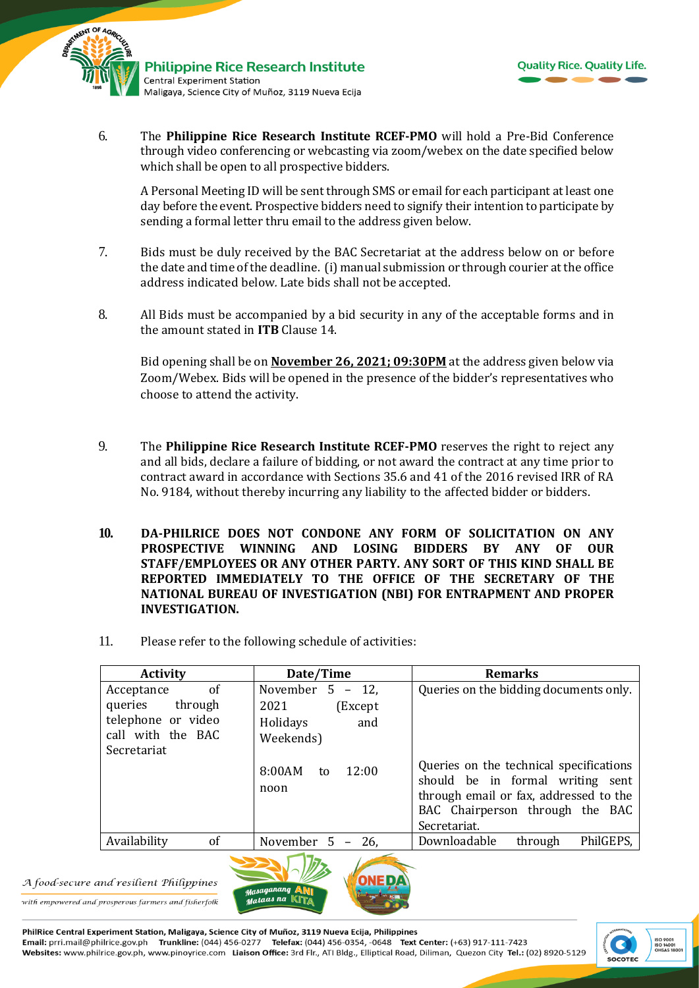



6. The **Philippine Rice Research Institute RCEF-PMO** will hold a Pre-Bid Conference through video conferencing or webcasting via zoom/webex on the date specified below which shall be open to all prospective bidders.

A Personal Meeting ID will be sent through SMS or email for each participant at least one day before the event. Prospective bidders need to signify their intention to participate by sending a formal letter thru email to the address given below.

- 7. Bids must be duly received by the BAC Secretariat at the address below on or before the date and time of the deadline. (i) manual submission or through courier at the office address indicated below*.* Late bids shall not be accepted.
- 8. All Bids must be accompanied by a bid security in any of the acceptable forms and in the amount stated in **ITB** Clause 14.

Bid opening shall be on **November 26, 2021; 09:30PM** at the address given below via Zoom/Webex. Bids will be opened in the presence of the bidder's representatives who choose to attend the activity.

- 9. The **Philippine Rice Research Institute RCEF-PMO** reserves the right to reject any and all bids, declare a failure of bidding, or not award the contract at any time prior to contract award in accordance with Sections 35.6 and 41 of the 2016 revised IRR of RA No. 9184, without thereby incurring any liability to the affected bidder or bidders.
- **10. DA-PHILRICE DOES NOT CONDONE ANY FORM OF SOLICITATION ON ANY PROSPECTIVE WINNING AND LOSING BIDDERS BY ANY OF OUR STAFF/EMPLOYEES OR ANY OTHER PARTY. ANY SORT OF THIS KIND SHALL BE REPORTED IMMEDIATELY TO THE OFFICE OF THE SECRETARY OF THE NATIONAL BUREAU OF INVESTIGATION (NBI) FOR ENTRAPMENT AND PROPER INVESTIGATION.**
- 11. Please refer to the following schedule of activities:

| <b>Activity</b>    | Date/Time                     | <b>Remarks</b>                                                                                                                                                           |
|--------------------|-------------------------------|--------------------------------------------------------------------------------------------------------------------------------------------------------------------------|
| 0f<br>Acceptance   | November $5 - 12$ ,           | Queries on the bidding documents only.                                                                                                                                   |
| through<br>queries | 2021<br>(Except)              |                                                                                                                                                                          |
| telephone or video | Holidays<br>and               |                                                                                                                                                                          |
| call with the BAC  | Weekends)                     |                                                                                                                                                                          |
| Secretariat        |                               |                                                                                                                                                                          |
|                    | 8:00AM<br>12:00<br>to<br>noon | Queries on the technical specifications<br>should be in formal writing sent<br>through email or fax, addressed to the<br>BAC Chairperson through the BAC<br>Secretariat. |
| of<br>Availability | November $5 - 26$ ,           | PhilGEPS,<br>Downloadable<br>through                                                                                                                                     |
|                    | $\sim$ $\sim$ $\sim$ $\sim$   |                                                                                                                                                                          |

A food-secure and resilient Philippines

with empowered and prosperous farmers and fisherfolk



PhilRice Central Experiment Station, Maligaya, Science City of Muñoz, 3119 Nueva Ecija, Philippines Email: prri.mail@philrice.gov.ph Trunkline: (044) 456-0277 Telefax: (044) 456-0354, -0648 Text Center: (+63) 917-111-7423 Websites: www.philrice.gov.ph, www.pinoyrice.com Liaison Office: 3rd Flr., ATI Bldg., Elliptical Road, Diliman, Quezon City Tel.: (02) 8920-5129